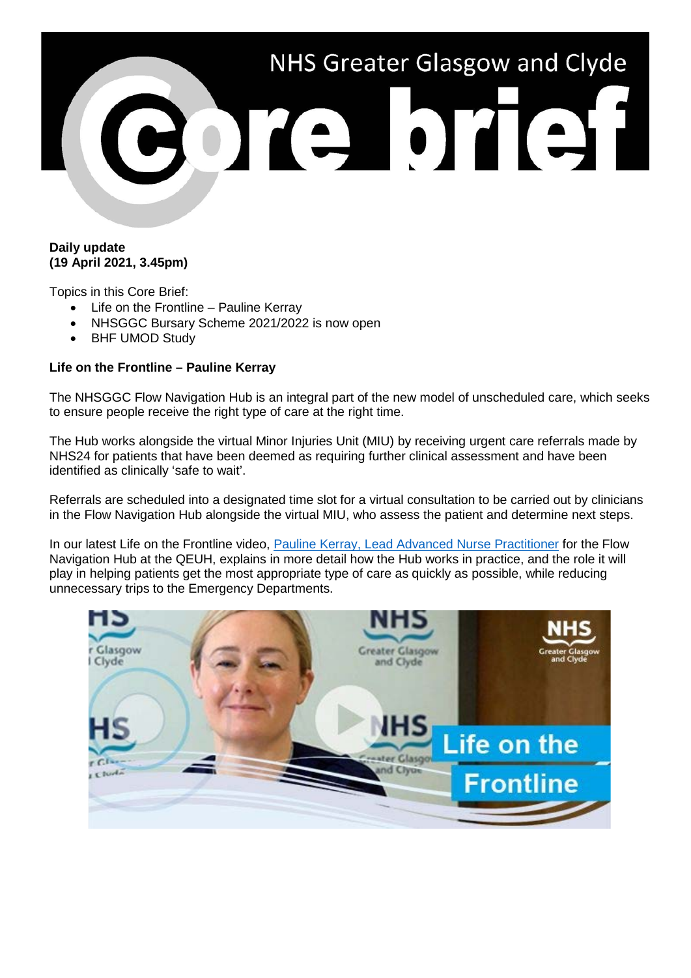

## **Daily update (19 April 2021, 3.45pm)**

Topics in this Core Brief:

- Life on the Frontline Pauline Kerray
- NHSGGC Bursary Scheme 2021/2022 is now open
- BHF UMOD Study

## **Life on the Frontline – Pauline Kerray**

The NHSGGC Flow Navigation Hub is an integral part of the new model of unscheduled care, which seeks to ensure people receive the right type of care at the right time.

The Hub works alongside the virtual Minor Injuries Unit (MIU) by receiving urgent care referrals made by NHS24 for patients that have been deemed as requiring further clinical assessment and have been identified as clinically 'safe to wait'.

Referrals are scheduled into a designated time slot for a virtual consultation to be carried out by clinicians in the Flow Navigation Hub alongside the virtual MIU, who assess the patient and determine next steps.

In our latest Life on the Frontline video, [Pauline Kerray, Lead Advanced Nurse Practitioner](https://youtu.be/SrqCiVI2n0U) for the Flow Navigation Hub at the QEUH, explains in more detail how the Hub works in practice, and the role it will play in helping patients get the most appropriate type of care as quickly as possible, while reducing unnecessary trips to the Emergency Departments.